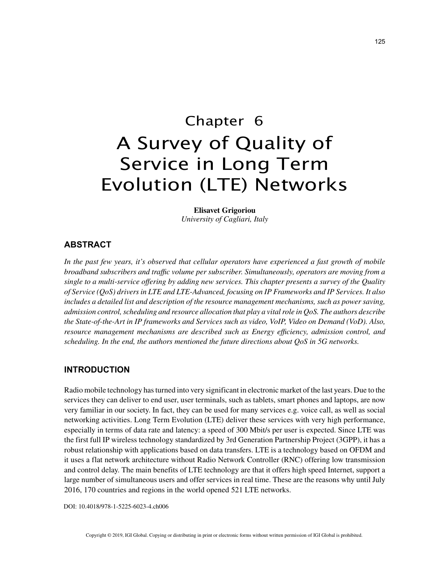# Chapter 6 A Survey of Quality of Service in Long Term Evolution (LTE) Networks

**Elisavet Grigoriou** *University of Cagliari, Italy*

## **ABSTRACT**

*In the past few years, it's observed that cellular operators have experienced a fast growth of mobile broadband subscribers and traffic volume per subscriber. Simultaneously, operators are moving from a single to a multi-service offering by adding new services. This chapter presents a survey of the Quality of Service (QoS) drivers in LTE and LTE-Advanced, focusing on IP Frameworks and IP Services. It also includes a detailed list and description of the resource management mechanisms, such as power saving, admission control, scheduling and resource allocation that play a vital role in QoS. The authors describe the State-of-the-Art in IP frameworks and Services such as video, VoIP, Video on Demand (VoD). Also, resource management mechanisms are described such as Energy efficiency, admission control, and scheduling. In the end, the authors mentioned the future directions about QoS in 5G networks.*

### **INTRODUCTION**

Radio mobile technology has turned into very significant in electronic market of the last years. Due to the services they can deliver to end user, user terminals, such as tablets, smart phones and laptops, are now very familiar in our society. In fact, they can be used for many services e.g. voice call, as well as social networking activities. Long Term Evolution (LTE) deliver these services with very high performance, especially in terms of data rate and latency: a speed of 300 Mbit/s per user is expected. Since LTE was the first full IP wireless technology standardized by 3rd Generation Partnership Project (3GPP), it has a robust relationship with applications based on data transfers. LTE is a technology based on OFDM and it uses a flat network architecture without Radio Network Controller (RNC) offering low transmission and control delay. The main benefits of LTE technology are that it offers high speed Internet, support a large number of simultaneous users and offer services in real time. These are the reasons why until July 2016, 170 countries and regions in the world opened 521 LTE networks.

DOI: 10.4018/978-1-5225-6023-4.ch006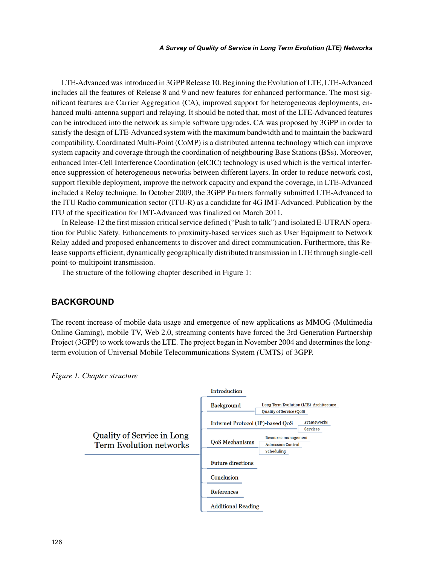LTE-Advanced was introduced in 3GPP Release 10. Beginning the Evolution of LTE, LTE-Advanced includes all the features of Release 8 and 9 and new features for enhanced performance. The most significant features are Carrier Aggregation (CA), improved support for heterogeneous deployments, enhanced multi-antenna support and relaying. It should be noted that, most of the LTE-Advanced features can be introduced into the network as simple software upgrades. CA was proposed by 3GPP in order to satisfy the design of LTE-Advanced system with the maximum bandwidth and to maintain the backward compatibility. Coordinated Multi-Point (CoMP) is a distributed antenna technology which can improve system capacity and coverage through the coordination of neighbouring Base Stations (BSs). Moreover, enhanced Inter-Cell Interference Coordination (eICIC) technology is used which is the vertical interference suppression of heterogeneous networks between different layers. In order to reduce network cost, support flexible deployment, improve the network capacity and expand the coverage, in LTE-Advanced included a Relay technique. In October 2009, the 3GPP Partners formally submitted LTE-Advanced to the ITU Radio communication sector (ITU-R) as a candidate for 4G IMT-Advanced. Publication by the ITU of the specification for IMT-Advanced was finalized on March 2011.

In Release-12 the first mission critical service defined ("Push to talk") and isolated E-UTRAN operation for Public Safety. Enhancements to proximity-based services such as User Equipment to Network Relay added and proposed enhancements to discover and direct communication. Furthermore, this Release supports efficient, dynamically geographically distributed transmission in LTE through single-cell point-to-multipoint transmission.

The structure of the following chapter described in Figure 1:

# **BACKGROUND**

The recent increase of mobile data usage and emergence of new applications as MMOG (Multimedia Online Gaming), mobile TV, Web 2.0, streaming contents have forced the 3rd Generation Partnership Project (3GPP) to work towards the LTE. The project began in November 2004 and determines the longterm evolution of Universal Mobile Telecommunications System *(*UMTS*)* of 3GPP.



*Figure 1. Chapter structure*